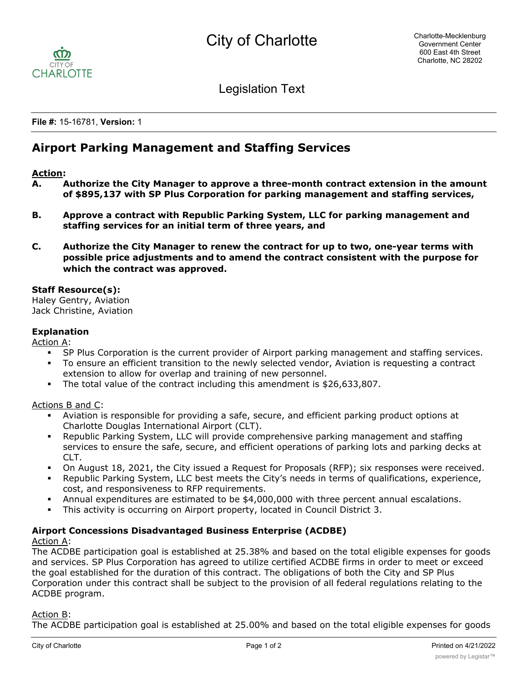

Legislation Text

**File #:** 15-16781, **Version:** 1

# **Airport Parking Management and Staffing Services**

## **Action:**

- **A. Authorize the City Manager to approve a three-month contract extension in the amount of \$895,137 with SP Plus Corporation for parking management and staffing services,**
- **B. Approve a contract with Republic Parking System, LLC for parking management and staffing services for an initial term of three years, and**
- **C. Authorize the City Manager to renew the contract for up to two, one-year terms with possible price adjustments and to amend the contract consistent with the purpose for which the contract was approved.**

## **Staff Resource(s):**

Haley Gentry, Aviation Jack Christine, Aviation

## **Explanation**

Action A:

- SP Plus Corporation is the current provider of Airport parking management and staffing services.
- § To ensure an efficient transition to the newly selected vendor, Aviation is requesting a contract extension to allow for overlap and training of new personnel.
- § The total value of the contract including this amendment is \$26,633,807.

## Actions B and C:

- § Aviation is responsible for providing a safe, secure, and efficient parking product options at Charlotte Douglas International Airport (CLT).
- § Republic Parking System, LLC will provide comprehensive parking management and staffing services to ensure the safe, secure, and efficient operations of parking lots and parking decks at CLT.
- On August 18, 2021, the City issued a Request for Proposals (RFP); six responses were received.
- § Republic Parking System, LLC best meets the City's needs in terms of qualifications, experience, cost, and responsiveness to RFP requirements.
- Annual expenditures are estimated to be \$4,000,000 with three percent annual escalations.
- § This activity is occurring on Airport property, located in Council District 3.

## **Airport Concessions Disadvantaged Business Enterprise (ACDBE)**

#### Action A:

The ACDBE participation goal is established at 25.38% and based on the total eligible expenses for goods and services. SP Plus Corporation has agreed to utilize certified ACDBE firms in order to meet or exceed the goal established for the duration of this contract. The obligations of both the City and SP Plus Corporation under this contract shall be subject to the provision of all federal regulations relating to the ACDBE program.

#### Action B:

The ACDBE participation goal is established at 25.00% and based on the total eligible expenses for goods